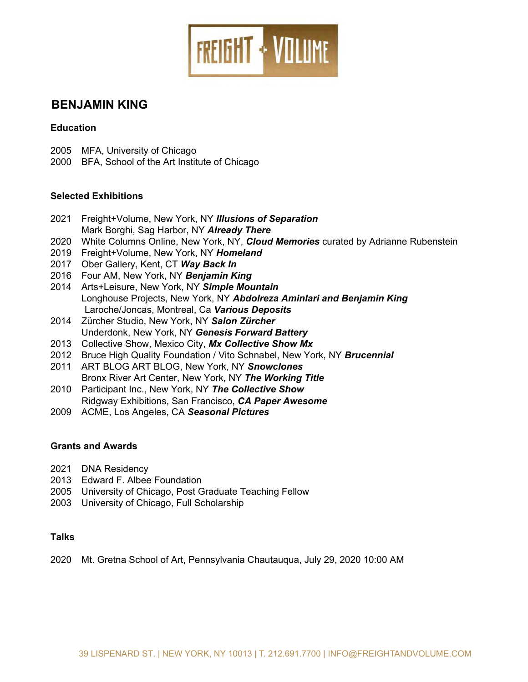

# **BENJAMIN KING**

#### **Education**

- 2005 MFA, University of Chicago
- 2000 BFA, School of the Art Institute of Chicago

#### **Selected Exhibitions**

- 2021 Freight+Volume, New York, NY *Illusions of Separation* Mark Borghi, Sag Harbor, NY *Already There*
- 2020 White Columns Online, New York, NY, *Cloud Memories* curated by Adrianne Rubenstein
- 2019 Freight+Volume, New York, NY *Homeland*
- 2017 Ober Gallery, Kent, CT *Way Back In*
- 2016 Four AM, New York, NY *Benjamin King*
- 2014 Arts+Leisure, New York, NY *Simple Mountain* Longhouse Projects, New York, NY *Abdolreza Aminlari and Benjamin King* Laroche/Joncas, Montreal, Ca *Various Deposits*
- 2014 Zürcher Studio, New York, NY *Salon Zürcher* Underdonk, New York, NY *Genesis Forward Battery*
- 2013 Collective Show, Mexico City, *Mx Collective Show Mx*
- 2012 Bruce High Quality Foundation / Vito Schnabel, New York, NY *Brucennial*
- 2011 ART BLOG ART BLOG, New York, NY *Snowclones* Bronx River Art Center, New York, NY *The Working Title*
- 2010 Participant Inc., New York, NY *The Collective Show* Ridgway Exhibitions, San Francisco, *CA Paper Awesome*
- 2009 ACME, Los Angeles, CA *Seasonal Pictures*

#### **Grants and Awards**

- 2021 DNA Residency
- 2013 Edward F. Albee Foundation
- 2005 University of Chicago, Post Graduate Teaching Fellow
- 2003 University of Chicago, Full Scholarship

#### **Talks**

2020 Mt. Gretna School of Art, Pennsylvania Chautauqua, July 29, 2020 10:00 AM